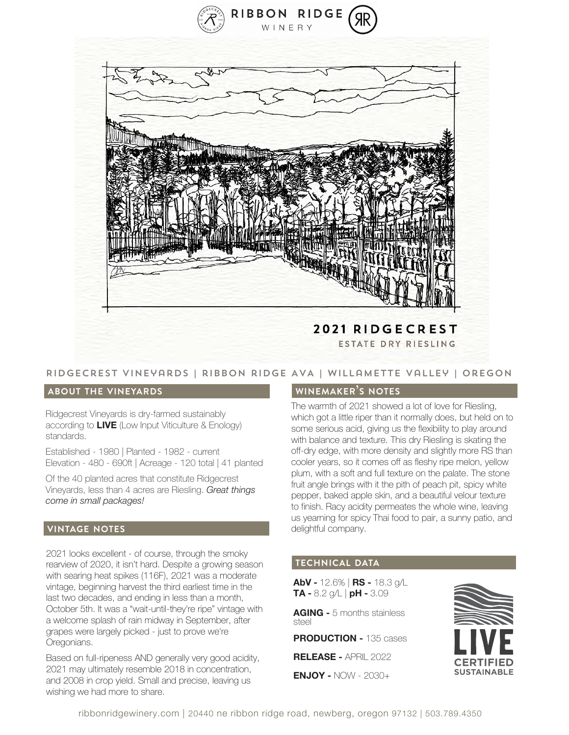



### Ridgecrest vineyards | ribbon ridge AVA | willamette Valley | Oregon

#### **about the vineyards**

Ridgecrest Vineyards is dry-farmed sustainably according to **LIVE** (Low Input Viticulture & Enology) standards.

Established - 1980 | Planted - 1982 - current Elevation - 480 - 690ft | Acreage - 120 total | 41 planted

Of the 40 planted acres that constitute Ridgecrest Vineyards, less than 4 acres are Riesling. *Great things come in small packages!*

#### **vintage notes**

2021 looks excellent - of course, through the smoky rearview of 2020, it isn't hard. Despite a growing season with searing heat spikes (116F), 2021 was a moderate vintage, beginning harvest the third earliest time in the last two decades, and ending in less than a month, October 5th. It was a "wait-until-they're ripe" vintage with a welcome splash of rain midway in September, after grapes were largely picked - just to prove we're Oregonians.

Based on full-ripeness AND generally very good acidity, 2021 may ultimately resemble 2018 in concentration, and 2008 in crop yield. Small and precise, leaving us wishing we had more to share.

#### **winemaker's notes**

The warmth of 2021 showed a lot of love for Riesling, which got a little riper than it normally does, but held on to some serious acid, giving us the flexibility to play around with balance and texture. This dry Riesling is skating the off-dry edge, with more density and slightly more RS than cooler years, so it comes off as fleshy ripe melon, yellow plum, with a soft and full texture on the palate. The stone fruit angle brings with it the pith of peach pit, spicy white pepper, baked apple skin, and a beautiful velour texture to finish. Racy acidity permeates the whole wine, leaving us yearning for spicy Thai food to pair, a sunny patio, and delightful company.

## **technical data**

**AbV -** 12.6% | **RS -** 18.3 g/L **TA -** 8.2 g/L | **pH -** 3.09

**AGING -** 5 months stainless steel

**PRODUCTION -** 135 cases

**RELEASE -** APRIL 2022

**ENJOY -** NOW - 2030+